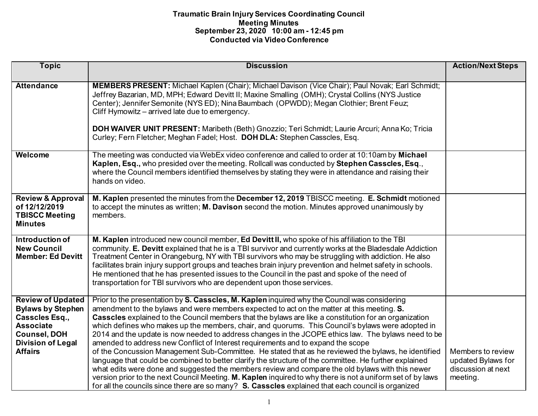| <b>Topic</b>                                                                                                                                                    | <b>Discussion</b>                                                                                                                                                                                                                                                                                                                                                                                                                                                                                                                                                                                                                                                                                                                                                                                                                                                                                                                                                                                                                                                                                                                            | <b>Action/Next Steps</b>                                                  |
|-----------------------------------------------------------------------------------------------------------------------------------------------------------------|----------------------------------------------------------------------------------------------------------------------------------------------------------------------------------------------------------------------------------------------------------------------------------------------------------------------------------------------------------------------------------------------------------------------------------------------------------------------------------------------------------------------------------------------------------------------------------------------------------------------------------------------------------------------------------------------------------------------------------------------------------------------------------------------------------------------------------------------------------------------------------------------------------------------------------------------------------------------------------------------------------------------------------------------------------------------------------------------------------------------------------------------|---------------------------------------------------------------------------|
|                                                                                                                                                                 |                                                                                                                                                                                                                                                                                                                                                                                                                                                                                                                                                                                                                                                                                                                                                                                                                                                                                                                                                                                                                                                                                                                                              |                                                                           |
| <b>Attendance</b>                                                                                                                                               | MEMBERS PRESENT: Michael Kaplen (Chair); Michael Davison (Vice Chair); Paul Novak; Earl Schmidt;<br>Jeffrey Bazarian, MD, MPH; Edward Devitt II; Maxine Smalling (OMH); Crystal Collins (NYS Justice<br>Center); Jennifer Semonite (NYS ED); Nina Baumbach (OPWDD); Megan Clothier; Brent Feuz;<br>Cliff Hymowitz – arrived late due to emergency.<br>DOH WAIVER UNIT PRESENT: Maribeth (Beth) Gnozzio; Teri Schmidt; Laurie Arcuri; Anna Ko; Tricia<br>Curley; Fern Fletcher; Meghan Fadel; Host. DOH DLA: Stephen Casscles, Esq.                                                                                                                                                                                                                                                                                                                                                                                                                                                                                                                                                                                                           |                                                                           |
| Welcome                                                                                                                                                         | The meeting was conducted via WebEx video conference and called to order at 10:10am by Michael<br>Kaplen, Esq., who presided over the meeting. Rollcall was conducted by Stephen Casscles, Esq.,<br>where the Council members identified themselves by stating they were in attendance and raising their<br>hands on video.                                                                                                                                                                                                                                                                                                                                                                                                                                                                                                                                                                                                                                                                                                                                                                                                                  |                                                                           |
| <b>Review &amp; Approval</b><br>of 12/12/2019<br><b>TBISCC Meeting</b><br><b>Minutes</b>                                                                        | M. Kaplen presented the minutes from the December 12, 2019 TBISCC meeting. E. Schmidt motioned<br>to accept the minutes as written; M. Davison second the motion. Minutes approved unanimously by<br>members.                                                                                                                                                                                                                                                                                                                                                                                                                                                                                                                                                                                                                                                                                                                                                                                                                                                                                                                                |                                                                           |
| Introduction of<br><b>New Council</b><br><b>Member: Ed Devitt</b>                                                                                               | M. Kaplen introduced new council member, Ed Devitt II, who spoke of his affiliation to the TBI<br>community. E. Devitt explained that he is a TBI survivor and currently works at the Bladesdale Addiction<br>Treatment Center in Orangeburg, NY with TBI survivors who may be struggling with addiction. He also<br>facilitates brain injury support groups and teaches brain injury prevention and helmet safety in schools.<br>He mentioned that he has presented issues to the Council in the past and spoke of the need of<br>transportation for TBI survivors who are dependent upon those services.                                                                                                                                                                                                                                                                                                                                                                                                                                                                                                                                   |                                                                           |
| <b>Review of Updated</b><br><b>Bylaws by Stephen</b><br>Casscles Esq.,<br><b>Associate</b><br><b>Counsel, DOH</b><br><b>Division of Legal</b><br><b>Affairs</b> | Prior to the presentation by S. Casscles, M. Kaplen inquired why the Council was considering<br>amendment to the bylaws and were members expected to act on the matter at this meeting. S.<br>Casscles explained to the Council members that the bylaws are like a constitution for an organization<br>which defines who makes up the members, chair, and quorums. This Council's bylaws were adopted in<br>2014 and the update is now needed to address changes in the JCOPE ethics law. The bylaws need to be<br>amended to address new Conflict of Interest requirements and to expand the scope<br>of the Concussion Management Sub-Committee. He stated that as he reviewed the bylaws, he identified<br>language that could be combined to better clarify the structure of the committee. He further explained<br>what edits were done and suggested the members review and compare the old bylaws with this newer<br>version prior to the next Council Meeting. M. Kaplen inquired to why there is not a uniform set of by laws<br>for all the councils since there are so many? S. Casscles explained that each council is organized | Members to review<br>updated Bylaws for<br>discussion at next<br>meeting. |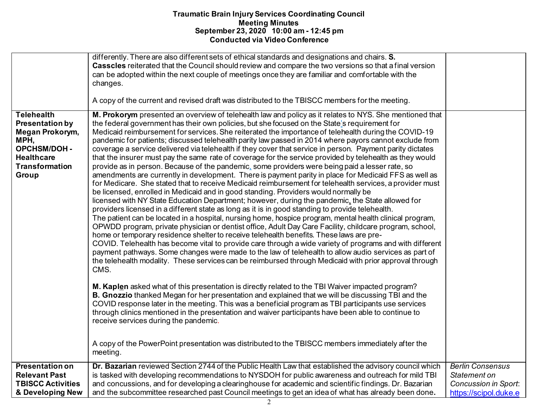|                                                                                                                                                      | differently. There are also different sets of ethical standards and designations and chairs. S.<br>Casscles reiterated that the Council should review and compare the two versions so that a final version<br>can be adopted within the next couple of meetings once they are familiar and comfortable with the<br>changes.<br>A copy of the current and revised draft was distributed to the TBISCC members for the meeting.                                                                                                                                                                                                                                                                                                                                                                                                                                                                                                                                                                                                                                                                                                                                                                                                                                                                                                                                                                                                                                                                                                                                                                                                                                                                                                                                                                                                                                                                                                                                                                                                                                                                                                                                                                                                                                                                                                                                                                                                                                                                                         |                                                                                                 |
|------------------------------------------------------------------------------------------------------------------------------------------------------|-----------------------------------------------------------------------------------------------------------------------------------------------------------------------------------------------------------------------------------------------------------------------------------------------------------------------------------------------------------------------------------------------------------------------------------------------------------------------------------------------------------------------------------------------------------------------------------------------------------------------------------------------------------------------------------------------------------------------------------------------------------------------------------------------------------------------------------------------------------------------------------------------------------------------------------------------------------------------------------------------------------------------------------------------------------------------------------------------------------------------------------------------------------------------------------------------------------------------------------------------------------------------------------------------------------------------------------------------------------------------------------------------------------------------------------------------------------------------------------------------------------------------------------------------------------------------------------------------------------------------------------------------------------------------------------------------------------------------------------------------------------------------------------------------------------------------------------------------------------------------------------------------------------------------------------------------------------------------------------------------------------------------------------------------------------------------------------------------------------------------------------------------------------------------------------------------------------------------------------------------------------------------------------------------------------------------------------------------------------------------------------------------------------------------------------------------------------------------------------------------------------------------|-------------------------------------------------------------------------------------------------|
| <b>Telehealth</b><br><b>Presentation by</b><br>Megan Prokorym,<br>MPH,<br><b>OPCHSM/DOH -</b><br><b>Healthcare</b><br><b>Transformation</b><br>Group | M. Prokorym presented an overview of telehealth law and policy as it relates to NYS. She mentioned that<br>the federal government has their own policies, but she focused on the State's requirement for<br>Medicaid reimbursement for services. She reiterated the importance of telehealth during the COVID-19<br>pandemic for patients; discussed telehealth parity law passed in 2014 where payors cannot exclude from<br>coverage a service delivered via telehealth if they cover that service in person. Payment parity dictates<br>that the insurer must pay the same rate of coverage for the service provided by telehealth as they would<br>provide as in person. Because of the pandemic, some providers were being paid a lesser rate, so<br>amendments are currently in development. There is payment parity in place for Medicaid FFS as well as<br>for Medicare. She stated that to receive Medicaid reimbursement for telehealth services, a provider must<br>be licensed, enrolled in Medicaid and in good standing. Providers would normally be<br>licensed with NY State Education Department; however, during the pandemic, the State allowed for<br>providers licensed in a different state as long as it is in good standing to provide telehealth.<br>The patient can be located in a hospital, nursing home, hospice program, mental health clinical program,<br>OPWDD program, private physician or dentist office, Adult Day Care Facility, childcare program, school,<br>home or temporary residence shelter to receive telehealth benefits. These laws are pre-<br>COVID. Telehealth has become vital to provide care through a wide variety of programs and with different<br>payment pathways. Some changes were made to the law of telehealth to allow audio services as part of<br>the telehealth modality. These services can be reimbursed through Medicaid with prior approval through<br>CMS.<br>M. Kaplen asked what of this presentation is directly related to the TBI Waiver impacted program?<br>B. Gnozzio thanked Megan for her presentation and explained that we will be discussing TBI and the<br>COVID response later in the meeting. This was a beneficial program as TBI participants use services<br>through clinics mentioned in the presentation and waiver participants have been able to continue to<br>receive services during the pandemic.<br>A copy of the PowerPoint presentation was distributed to the TBISCC members immediately after the<br>meeting. |                                                                                                 |
| <b>Presentation on</b><br><b>Relevant Past</b><br><b>TBISCC Activities</b><br>& Developing New                                                       | Dr. Bazarian reviewed Section 2744 of the Public Health Law that established the advisory council which<br>is tasked with developing recommendations to NYSDOH for public awareness and outreach for mild TBI<br>and concussions, and for developing a clearinghouse for academic and scientific findings. Dr. Bazarian<br>and the subcommittee researched past Council meetings to get an idea of what has already been done.                                                                                                                                                                                                                                                                                                                                                                                                                                                                                                                                                                                                                                                                                                                                                                                                                                                                                                                                                                                                                                                                                                                                                                                                                                                                                                                                                                                                                                                                                                                                                                                                                                                                                                                                                                                                                                                                                                                                                                                                                                                                                        | <b>Berlin Consensus</b><br>Statement on<br><b>Concussion in Sport:</b><br>https://scipol.duke.e |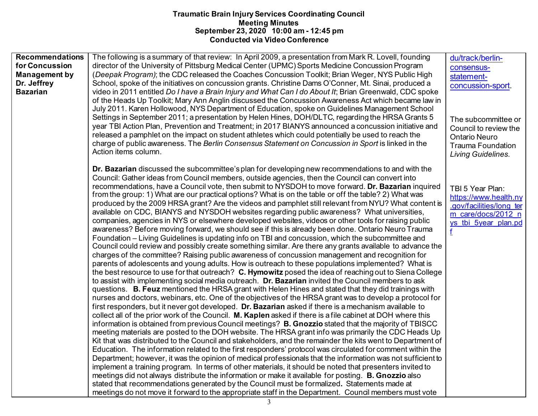| <b>Recommendations</b> | The following is a summary of that review: In April 2009, a presentation from Mark R. Lovell, founding      | du/track/berlin-         |
|------------------------|-------------------------------------------------------------------------------------------------------------|--------------------------|
| for Concussion         | director of the University of Pittsburg Medical Center (UPMC) Sports Medicine Concussion Program            | consensus-               |
| <b>Management by</b>   | (Deepak Program); the CDC released the Coaches Concussion Toolkit; Brian Weger, NYS Public High             | statement-               |
| Dr. Jeffrey            | School, spoke of the initiatives on concussion grants. Christine Dams O'Conner, Mt. Sinai, produced a       | concussion-sport         |
| <b>Bazarian</b>        | video in 2011 entitled Do I have a Brain Injury and What Can I do About It; Brian Greenwald, CDC spoke      |                          |
|                        | of the Heads Up Toolkit; Mary Ann Anglin discussed the Concussion Awareness Act which became law in         |                          |
|                        | July 2011. Karen Hollowood, NYS Department of Education, spoke on Guidelines Management School              |                          |
|                        | Settings in September 2011; a presentation by Helen Hines, DOH/DLTC, regarding the HRSA Grants 5            | The subcommittee or      |
|                        | year TBI Action Plan, Prevention and Treatment; in 2017 BIANYS announced a concussion initiative and        | Council to review the    |
|                        | released a pamphlet on the impact on student athletes which could potentially be used to reach the          | <b>Ontario Neuro</b>     |
|                        | charge of public awareness. The Berlin Consensus Statement on Concussion in Sport is linked in the          | <b>Trauma Foundation</b> |
|                        | Action items column.                                                                                        | Living Guidelines.       |
|                        |                                                                                                             |                          |
|                        | Dr. Bazarian discussed the subcommittee's plan for developing new recommendations to and with the           |                          |
|                        | Council: Gather ideas from Council members, outside agencies, then the Council can convert into             |                          |
|                        | recommendations, have a Council vote, then submit to NYSDOH to move forward. Dr. Bazarian inquired          | TBI 5 Year Plan:         |
|                        | from the group: 1) What are our practical options? What is on the table or off the table? 2) What was       | https://www.health.ny    |
|                        | produced by the 2009 HRSA grant? Are the videos and pamphlet still relevant from NYU? What content is       | .gov/facilities/long ter |
|                        | available on CDC, BIANYS and NYSDOH websites regarding public awareness? What universities,                 | m care/docs/2012 n       |
|                        | companies, agencies in NYS or elsewhere developed websites, videos or other tools for raising public        | ys tbi 5year plan.pd     |
|                        | awareness? Before moving forward, we should see if this is already been done. Ontario Neuro Trauma          | f                        |
|                        | Foundation – Living Guidelines is updating info on TBI and concussion, which the subcommittee and           |                          |
|                        | Council could review and possibly create something similar. Are there any grants available to advance the   |                          |
|                        | charges of the committee? Raising public awareness of concussion management and recognition for             |                          |
|                        | parents of adolescents and young adults. How is outreach to these populations implemented? What is          |                          |
|                        | the best resource to use for that outreach? C. Hymowitz posed the idea of reaching out to Siena College     |                          |
|                        | to assist with implementing social media outreach. Dr. Bazarian invited the Council members to ask          |                          |
|                        | questions. B. Feuz mentioned the HRSA grant with Helen Hines and stated that they did trainings with        |                          |
|                        | nurses and doctors, webinars, etc. One of the objectives of the HRSA grant was to develop a protocol for    |                          |
|                        | first responders, but it never got developed. Dr. Bazarian asked if there is a mechanism available to       |                          |
|                        | collect all of the prior work of the Council. M. Kaplen asked if there is a file cabinet at DOH where this  |                          |
|                        | information is obtained from previous Council meetings? B. Gnozzio stated that the majority of TBISCC       |                          |
|                        | meeting materials are posted to the DOH website. The HRSA grant info was primarily the CDC Heads Up         |                          |
|                        | Kit that was distributed to the Council and stakeholders, and the remainder the kits went to Department of  |                          |
|                        | Education. The information related to the first responders' protocol was circulated for comment within the  |                          |
|                        | Department; however, it was the opinion of medical professionals that the information was not sufficient to |                          |
|                        | implement a training program. In terms of other materials, it should be noted that presenters invited to    |                          |
|                        | meetings did not always distribute the information or make it available for posting. <b>B. Gnozzio</b> also |                          |
|                        | stated that recommendations generated by the Council must be formalized. Statements made at                 |                          |
|                        | meetings do not move it forward to the appropriate staff in the Department. Council members must vote       |                          |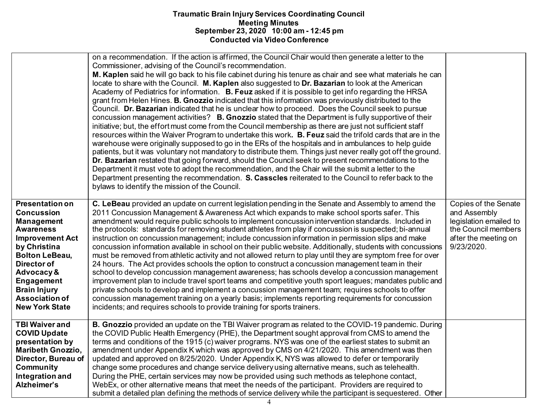|                                                                                                                                                                                                                                                                             | on a recommendation. If the action is affirmed, the Council Chair would then generate a letter to the<br>Commissioner, advising of the Council's recommendation.<br>M. Kaplen said he will go back to his file cabinet during his tenure as chair and see what materials he can<br>locate to share with the Council. M. Kaplen also suggested to Dr. Bazarian to look at the American<br>Academy of Pediatrics for information. B. Feuz asked if it is possible to get info regarding the HRSA<br>grant from Helen Hines. B. Gnozzio indicated that this information was previously distributed to the<br>Council. Dr. Bazarian indicated that he is unclear how to proceed. Does the Council seek to pursue<br>concussion management activities? B. Gnozzio stated that the Department is fully supportive of their<br>initiative; but, the effort must come from the Council membership as there are just not sufficient staff<br>resources within the Waiver Program to undertake this work. B. Feuz said the trifold cards that are in the<br>warehouse were originally supposed to go in the ERs of the hospitals and in ambulances to help guide<br>patients, but it was voluntary not mandatory to distribute them. Things just never really got off the ground.<br>Dr. Bazarian restated that going forward, should the Council seek to present recommendations to the<br>Department it must vote to adopt the recommendation, and the Chair will the submit a letter to the<br>Department presenting the recommendation. S. Casscles reiterated to the Council to refer back to the<br>bylaws to identify the mission of the Council. |                                                                                                                             |
|-----------------------------------------------------------------------------------------------------------------------------------------------------------------------------------------------------------------------------------------------------------------------------|------------------------------------------------------------------------------------------------------------------------------------------------------------------------------------------------------------------------------------------------------------------------------------------------------------------------------------------------------------------------------------------------------------------------------------------------------------------------------------------------------------------------------------------------------------------------------------------------------------------------------------------------------------------------------------------------------------------------------------------------------------------------------------------------------------------------------------------------------------------------------------------------------------------------------------------------------------------------------------------------------------------------------------------------------------------------------------------------------------------------------------------------------------------------------------------------------------------------------------------------------------------------------------------------------------------------------------------------------------------------------------------------------------------------------------------------------------------------------------------------------------------------------------------------------------------------------------------------------------------------------------------------|-----------------------------------------------------------------------------------------------------------------------------|
| <b>Presentation on</b><br><b>Concussion</b><br><b>Management</b><br><b>Awareness</b><br><b>Improvement Act</b><br>by Christina<br><b>Bolton LeBeau,</b><br>Director of<br>Advocacy &<br>Engagement<br><b>Brain Injury</b><br><b>Association of</b><br><b>New York State</b> | C. LeBeau provided an update on current legislation pending in the Senate and Assembly to amend the<br>2011 Concussion Management & Awareness Act which expands to make school sports safer. This<br>amendment would require public schools to implement concussion intervention standards. Included in<br>the protocols: standards for removing student athletes from play if concussion is suspected; bi-annual<br>instruction on concussion management; include concussion information in permission slips and make<br>concussion information available in school on their public website. Additionally, students with concussions<br>must be removed from athletic activity and not allowed return to play until they are symptom free for over<br>24 hours. The Act provides schools the option to construct a concussion management team in their<br>school to develop concussion management awareness; has schools develop a concussion management<br>improvement plan to include travel sport teams and competitive youth sport leagues; mandates public and<br>private schools to develop and implement a concussion management team; requires schools to offer<br>concussion management training on a yearly basis; implements reporting requirements for concussion<br>incidents; and requires schools to provide training for sports trainers.                                                                                                                                                                                                                                                                                     | Copies of the Senate<br>and Assembly<br>legislation emailed to<br>the Council members<br>after the meeting on<br>9/23/2020. |
| <b>TBI Waiver and</b><br><b>COVID Update</b><br>presentation by<br><b>Maribeth Gnozzio,</b><br>Director, Bureau of<br><b>Community</b><br>Integration and<br>Alzheimer's                                                                                                    | B. Gnozzio provided an update on the TBI Waiver program as related to the COVID-19 pandemic. During<br>the COVID Public Health Emergency (PHE), the Department sought approval from CMS to amend the<br>terms and conditions of the 1915 (c) waiver programs. NYS was one of the earliest states to submit an<br>amendment under Appendix K which was approved by CMS on 4/21/2020. This amendment was then<br>updated and approved on 8/25/2020. Under Appendix K, NYS was allowed to defer or temporarily<br>change some procedures and change service delivery using alternative means, such as telehealth.<br>During the PHE, certain services may now be provided using such methods as telephone contact,<br>WebEx, or other alternative means that meet the needs of the participant. Providers are required to<br>submit a detailed plan defining the methods of service delivery while the participant is sequestered. Other                                                                                                                                                                                                                                                                                                                                                                                                                                                                                                                                                                                                                                                                                                          |                                                                                                                             |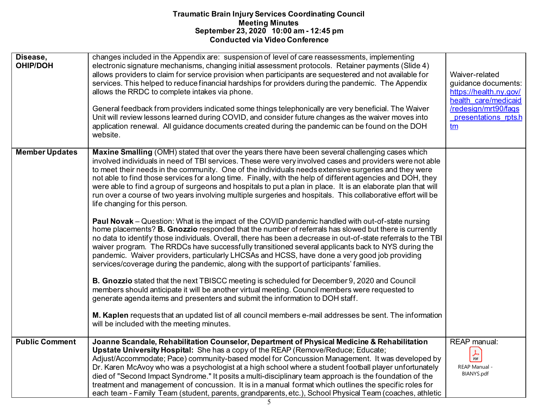| Disease,<br><b>OHIP/DOH</b> | changes included in the Appendix are: suspension of level of care reassessments, implementing<br>electronic signature mechanisms, changing initial assessment protocols. Retainer payments (Slide 4)<br>allows providers to claim for service provision when participants are sequestered and not available for<br>services. This helped to reduce financial hardships for providers during the pandemic. The Appendix<br>allows the RRDC to complete intakes via phone.<br>General feedback from providers indicated some things telephonically are very beneficial. The Waiver<br>Unit will review lessons learned during COVID, and consider future changes as the waiver moves into<br>application renewal. All guidance documents created during the pandemic can be found on the DOH<br>website.                                                                                                                                                                                                                                                                                                                                                                                                                                                                                                                                                                                                                                                                                                                                                                                                                                                                                                                                                                                               | Waiver-related<br>guidance documents:<br>https://health.ny.gov/<br>health care/medicaid<br>/redesign/mrt90/fags<br>presentations rpts.h<br><u>tm</u> |
|-----------------------------|------------------------------------------------------------------------------------------------------------------------------------------------------------------------------------------------------------------------------------------------------------------------------------------------------------------------------------------------------------------------------------------------------------------------------------------------------------------------------------------------------------------------------------------------------------------------------------------------------------------------------------------------------------------------------------------------------------------------------------------------------------------------------------------------------------------------------------------------------------------------------------------------------------------------------------------------------------------------------------------------------------------------------------------------------------------------------------------------------------------------------------------------------------------------------------------------------------------------------------------------------------------------------------------------------------------------------------------------------------------------------------------------------------------------------------------------------------------------------------------------------------------------------------------------------------------------------------------------------------------------------------------------------------------------------------------------------------------------------------------------------------------------------------------------------|------------------------------------------------------------------------------------------------------------------------------------------------------|
| <b>Member Updates</b>       | Maxine Smalling (OMH) stated that over the years there have been several challenging cases which<br>involved individuals in need of TBI services. These were very involved cases and providers were not able<br>to meet their needs in the community. One of the individuals needs extensive surgeries and they were<br>not able to find those services for a long time. Finally, with the help of different agencies and DOH, they<br>were able to find a group of surgeons and hospitals to put a plan in place. It is an elaborate plan that will<br>run over a course of two years involving multiple surgeries and hospitals. This collaborative effort will be<br>life changing for this person.<br><b>Paul Novak</b> – Question: What is the impact of the COVID pandemic handled with out-of-state nursing<br>home placements? B. Gnozzio responded that the number of referrals has slowed but there is currently<br>no data to identify those individuals. Overall, there has been a decrease in out-of-state referrals to the TBI<br>waiver program. The RRDCs have successfully transitioned several applicants back to NYS during the<br>pandemic. Waiver providers, particularly LHCSAs and HCSS, have done a very good job providing<br>services/coverage during the pandemic, along with the support of participants' families.<br><b>B. Gnozzio</b> stated that the next TBISCC meeting is scheduled for December 9, 2020 and Council<br>members should anticipate it will be another virtual meeting. Council members were requested to<br>generate agenda items and presenters and submit the information to DOH staff.<br>M. Kaplen requests that an updated list of all council members e-mail addresses be sent. The information<br>will be included with the meeting minutes. |                                                                                                                                                      |
| <b>Public Comment</b>       | Joanne Scandale, Rehabilitation Counselor, Department of Physical Medicine & Rehabilitation<br>Upstate University Hospital: She has a copy of the REAP (Remove/Reduce; Educate;<br>Adjust/Accommodate; Pace) community-based model for Concussion Management. It was developed by<br>Dr. Karen McAvoy who was a psychologist at a high school where a student football player unfortunately<br>died of "Second Impact Syndrome." It posits a multi-disciplinary team approach is the foundation of the<br>treatment and management of concussion. It is in a manual format which outlines the specific roles for<br>each team - Family Team (student, parents, grandparents, etc.), School Physical Team (coaches, athletic                                                                                                                                                                                                                                                                                                                                                                                                                                                                                                                                                                                                                                                                                                                                                                                                                                                                                                                                                                                                                                                                          | REAP manual:<br>$\frac{1}{\text{PDF}}$<br>REAP Manual -<br>BIANYS.pdf                                                                                |